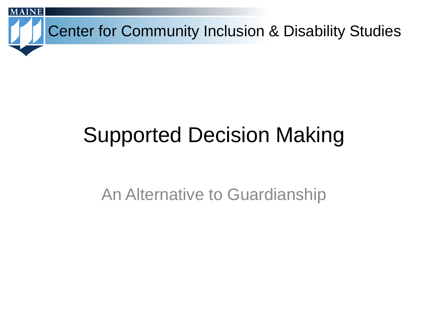

# Supported Decision Making

#### An Alternative to Guardianship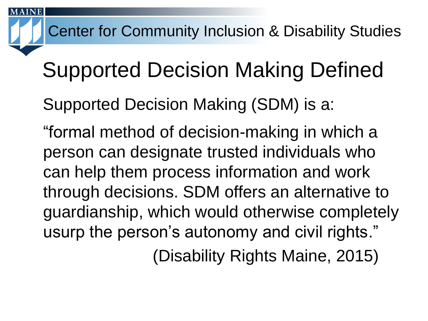# Supported Decision Making Defined

Supported Decision Making (SDM) is a:

"formal method of decision-making in which a person can designate trusted individuals who can help them process information and work through decisions. SDM offers an alternative to guardianship, which would otherwise completely usurp the person's autonomy and civil rights."

(Disability Rights Maine, 2015)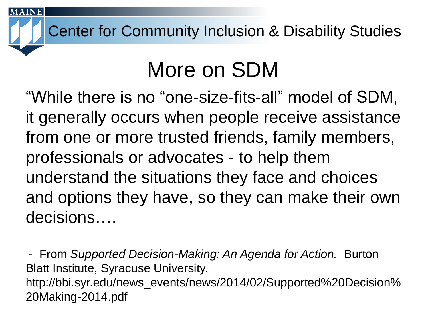### More on SDM

"While there is no "one-size-fits-all" model of SDM, it generally occurs when people receive assistance from one or more trusted friends, family members, professionals or advocates - to help them understand the situations they face and choices and options they have, so they can make their own decisions….

- From *Supported Decision-Making: An Agenda for Action.* Burton Blatt Institute, Syracuse University. http://bbi.syr.edu/news\_events/news/2014/02/Supported%20Decision% 20Making-2014.pdf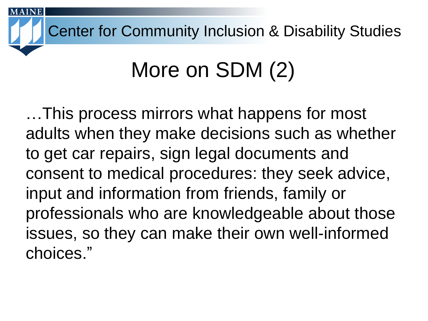# More on SDM (2)

…This process mirrors what happens for most adults when they make decisions such as whether to get car repairs, sign legal documents and consent to medical procedures: they seek advice, input and information from friends, family or professionals who are knowledgeable about those issues, so they can make their own well-informed choices."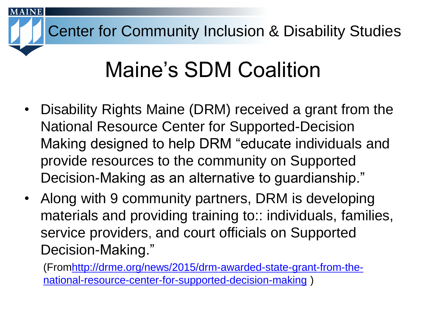## Maine's SDM Coalition

- Disability Rights Maine (DRM) received a grant from the National Resource Center for Supported-Decision Making designed to help DRM "educate individuals and provide resources to the community on Supported Decision-Making as an alternative to guardianship."
- Along with 9 community partners, DRM is developing materials and providing training to:: individuals, families, service providers, and court officials on Supported Decision-Making."

[\(Fromhttp://drme.org/news/2015/drm-awarded-state-grant-from-the](http://drme.org/news/2015/drm-awarded-state-grant-from-the-national-resource-center-for-supported-decision-making)national-resource-center-for-supported-decision-making )